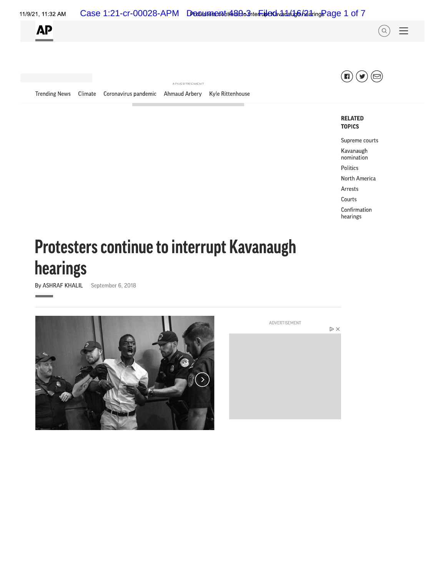

# **Protesters continue to interrupt Kavanaugh** hearings

By ASHRAF KHALIL September 6, 2018



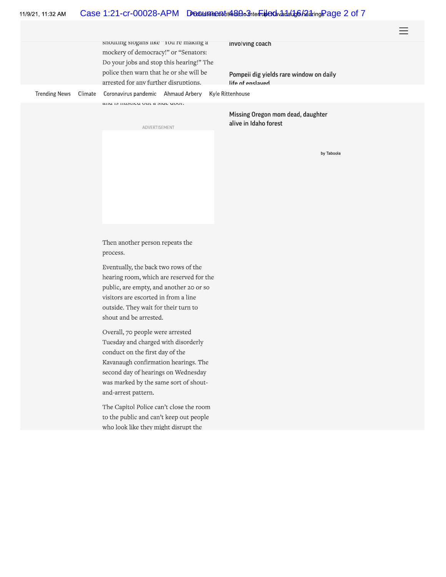#### Case 1:21-cr-00028-APM Drades meant the Best friends and additional and Page 2 of 7 11/9/21, 11:32 AM

snouting siogans like rou re making a mockery of democracy!" or "Senators: Do your jobs and stop this hearing!" The police then warn that he or she will be arrested for any further disruptions.

**Involving coach** 

Pompeii dig yields rare window on daily he understand

Climate **Trending News** Coronavirus pandemic Ahmaud Arbery Kyle Rittenhouse

and to motive out a side door.

ADVERTISEMENT

Missing Oregon mom dead, daughter alive in Idaho forest

by Taboola

Then another person repeats the process.

Eventually, the back two rows of the hearing room, which are reserved for the public, are empty, and another 20 or so visitors are escorted in from a line outside. They wait for their turn to shout and be arrested.

Overall, 70 people were arrested Tuesday and charged with disorderly conduct on the first day of the Kavanaugh confirmation hearings. The second day of hearings on Wednesday was marked by the same sort of shoutand-arrest pattern.

The Capitol Police can't close the room to the public and can't keep out people who look like they might disrupt the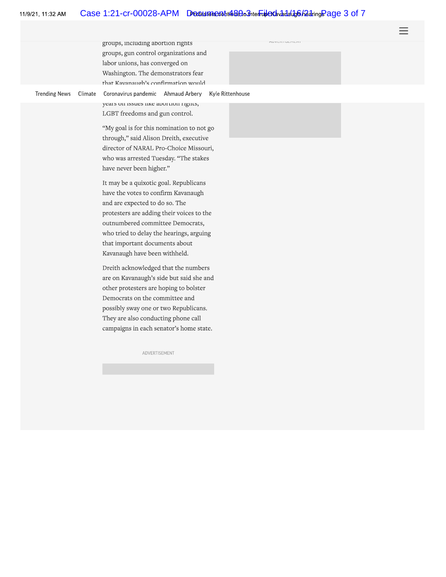#### Case 1:21-cr-00028-APM Drades meant the Best friends and additional and Fage 3 of 7 11/9/21, 11:32 AM

nd y En Hollingen

groups, including abortion rights groups, gun control organizations and labor unions, has converged on Washington. The demonstrators fear that Kavanaugh's confirmation would

**Trending News** Climate

Kyle Rittenhouse Coronavirus pandemic Ahmaud Arbery years on issues like abortion rights,

LGBT freedoms and gun control.

"My goal is for this nomination to not go through," said Alison Dreith, executive director of NARAL Pro-Choice Missouri, who was arrested Tuesday. "The stakes have never been higher."

It may be a quixotic goal. Republicans have the votes to confirm Kavanaugh and are expected to do so. The protesters are adding their voices to the outnumbered committee Democrats, who tried to delay the hearings, arguing that important documents about Kavanaugh have been withheld.

Dreith acknowledged that the numbers are on Kavanaugh's side but said she and other protesters are hoping to bolster Democrats on the committee and possibly sway one or two Republicans. They are also conducting phone call campaigns in each senator's home state.

ADVERTISEMENT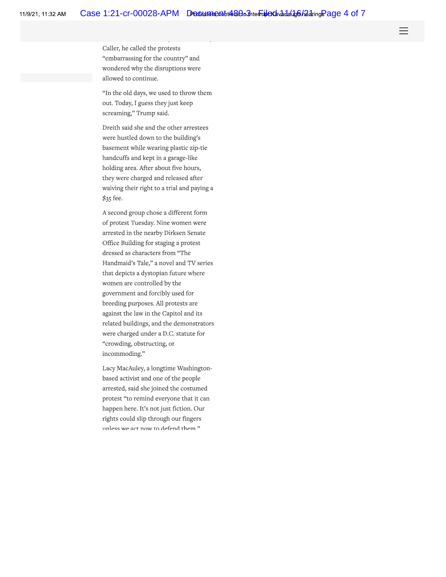Caller, he called the protests "embarrassing for the country" and wondered why the disruptions were allowed to continue.

"In the old days, we used to throw them out. Today, I guess they just keep screaming," Trump said.

Dreith said she and the other arrestees were hustled down to the building's basement while wearing plastic zip-tie handcuffs and kept in a garage-like holding area. After about five hours, they were charged and released after waiving their right to a trial and paying a \$35 fee.

A second group chose a different form of protest Tuesday. Nine women were arrested in the nearby Dirksen Senate Office Building for staging a protest dressed as characters from "The Handmaid's Tale," a novel and TV series that depicts a dystopian future where women are controlled by the government and forcibly used for breeding purposes. All protests are against the law in the Capitol and its related buildings, and the demonstrators were charged under a D.C. statute for "crowding, obstructing, or incommoding."

Lacy MacAuley, a longtime Washingtonbased activist and one of the people arrested, said she joined the costumed protest "to remind everyone that it can happen here. It's not just fiction. Our rights could slip through our fingers unless we act now to defend them "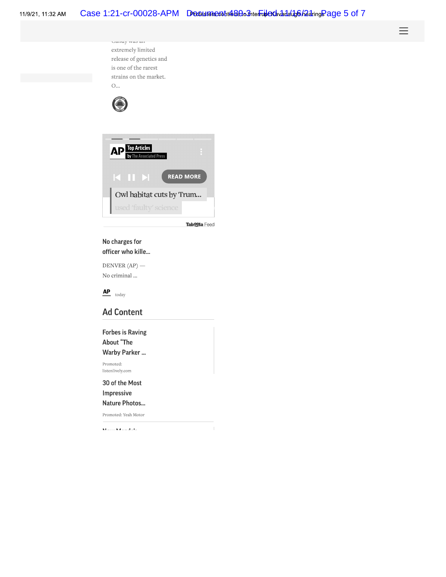| CHAINT-TYMP MAX         |
|-------------------------|
| extremely limited       |
| release of genetics and |
| is one of the rarest    |
| strains on the market.  |
|                         |





Tab**ogla** Feed

 $\overline{\phantom{a}}$ 

## No charges for officer who kille...

DENVER  $AP$ ) — No criminal ...



## **Ad Content**

**Forbes is Raving** About "The Warby Parker ...

Promoted: listenlively.com

30 of the Most Impressive

Nature Photos...

Promoted: Yeah Motor

 $\mathbf{K}(\mathbf{r}) = \mathbf{K}(\mathbf{z}) = \mathbf{E}(\mathbf{r})$ 

**Amazon Has Millions of Prime** Subscribers - B...

Promoted: Capital One Shopping

Inslee: WSU coach 'just...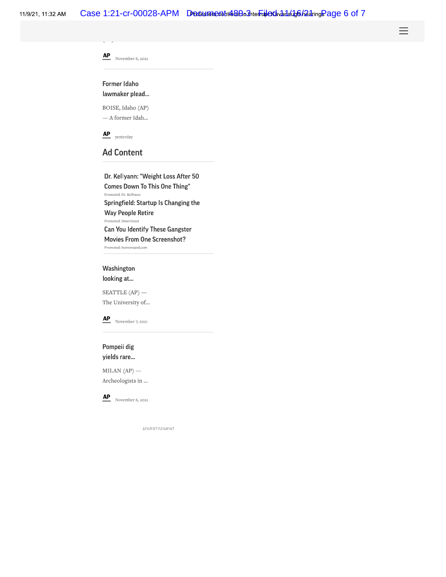11/9/21, 11:32 AM



**Can You Identify These Gangster Movies From One Screenshot?** 

Promoted: bonvovaged.com

## Washington

looking at...

SEATTLE  $AP$ ) -The University of...



Pompeii dig yields rare...

 $MILAN (AP)$  — Archeologists in ...



 $AP$  November 6, 2021

ANVERTISEMENT